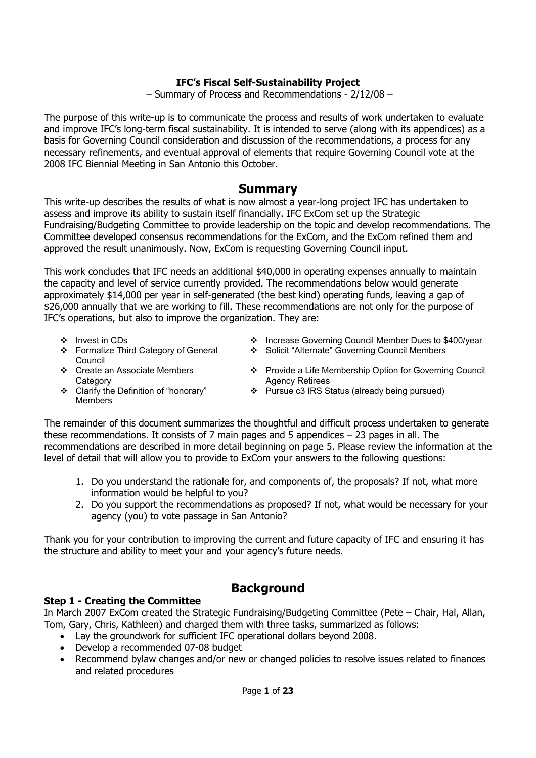## **IFC's Fiscal Self-Sustainability Project**

– Summary of Process and Recommendations - 2/12/08 –

The purpose of this write-up is to communicate the process and results of work undertaken to evaluate and improve IFC's long-term fiscal sustainability. It is intended to serve (along with its appendices) as a basis for Governing Council consideration and discussion of the recommendations, a process for any necessary refinements, and eventual approval of elements that require Governing Council vote at the 2008 IFC Biennial Meeting in San Antonio this October.

## **Summary**

This write-up describes the results of what is now almost a year-long project IFC has undertaken to assess and improve its ability to sustain itself financially. IFC ExCom set up the Strategic Fundraising/Budgeting Committee to provide leadership on the topic and develop recommendations. The Committee developed consensus recommendations for the ExCom, and the ExCom refined them and approved the result unanimously. Now, ExCom is requesting Governing Council input.

This work concludes that IFC needs an additional \$40,000 in operating expenses annually to maintain the capacity and level of service currently provided. The recommendations below would generate approximately \$14,000 per year in self-generated (the best kind) operating funds, leaving a gap of \$26,000 annually that we are working to fill. These recommendations are not only for the purpose of IFC's operations, but also to improve the organization. They are:

- 
- Formalize Third Category of General Council
- ◆ Invest in CDs Quest in CDs Quest in CDs Quest in the Member Dues to \$400/year
	- Solicit "Alternate" Governing Council Members
- Create an Associate Members **Category**
- ❖ Provide a Life Membership Option for Governing Council Agency Retirees
- Clarify the Definition of "honorary" Members
- ❖ Pursue c3 IRS Status (already being pursued)

The remainder of this document summarizes the thoughtful and difficult process undertaken to generate these recommendations. It consists of 7 main pages and 5 appendices – 23 pages in all. The recommendations are described in more detail beginning on page 5. Please review the information at the level of detail that will allow you to provide to ExCom your answers to the following questions:

- 1. Do you understand the rationale for, and components of, the proposals? If not, what more information would be helpful to you?
- 2. Do you support the recommendations as proposed? If not, what would be necessary for your agency (you) to vote passage in San Antonio?

Thank you for your contribution to improving the current and future capacity of IFC and ensuring it has the structure and ability to meet your and your agency's future needs.

# **Background**

## **Step 1 - Creating the Committee**

In March 2007 ExCom created the Strategic Fundraising/Budgeting Committee (Pete – Chair, Hal, Allan, Tom, Gary, Chris, Kathleen) and charged them with three tasks, summarized as follows:

- Lay the groundwork for sufficient IFC operational dollars beyond 2008.
- Develop a recommended 07-08 budget
- Recommend bylaw changes and/or new or changed policies to resolve issues related to finances and related procedures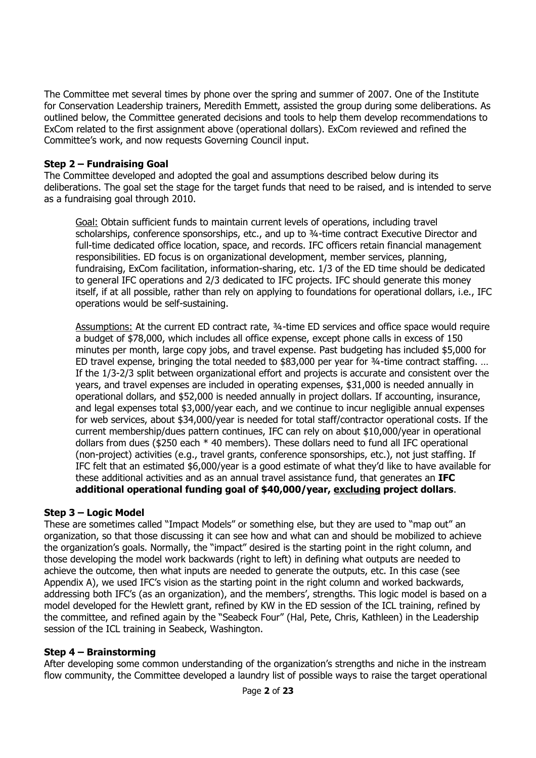The Committee met several times by phone over the spring and summer of 2007. One of the Institute for Conservation Leadership trainers, Meredith Emmett, assisted the group during some deliberations. As outlined below, the Committee generated decisions and tools to help them develop recommendations to ExCom related to the first assignment above (operational dollars). ExCom reviewed and refined the Committee's work, and now requests Governing Council input.

### **Step 2 – Fundraising Goal**

The Committee developed and adopted the goal and assumptions described below during its deliberations. The goal set the stage for the target funds that need to be raised, and is intended to serve as a fundraising goal through 2010.

Goal: Obtain sufficient funds to maintain current levels of operations, including travel scholarships, conference sponsorships, etc., and up to ¾-time contract Executive Director and full-time dedicated office location, space, and records. IFC officers retain financial management responsibilities. ED focus is on organizational development, member services, planning, fundraising, ExCom facilitation, information-sharing, etc. 1/3 of the ED time should be dedicated to general IFC operations and 2/3 dedicated to IFC projects. IFC should generate this money itself, if at all possible, rather than rely on applying to foundations for operational dollars, i.e., IFC operations would be self-sustaining.

Assumptions: At the current ED contract rate, ¾-time ED services and office space would require a budget of \$78,000, which includes all office expense, except phone calls in excess of 150 minutes per month, large copy jobs, and travel expense. Past budgeting has included \$5,000 for ED travel expense, bringing the total needed to \$83,000 per year for ¾-time contract staffing. … If the 1/3-2/3 split between organizational effort and projects is accurate and consistent over the years, and travel expenses are included in operating expenses, \$31,000 is needed annually in operational dollars, and \$52,000 is needed annually in project dollars. If accounting, insurance, and legal expenses total \$3,000/year each, and we continue to incur negligible annual expenses for web services, about \$34,000/year is needed for total staff/contractor operational costs. If the current membership/dues pattern continues, IFC can rely on about \$10,000/year in operational dollars from dues (\$250 each \* 40 members). These dollars need to fund all IFC operational (non-project) activities (e.g., travel grants, conference sponsorships, etc.), not just staffing. If IFC felt that an estimated \$6,000/year is a good estimate of what they'd like to have available for these additional activities and as an annual travel assistance fund, that generates an **IFC additional operational funding goal of \$40,000/year, excluding project dollars**.

### **Step 3 – Logic Model**

These are sometimes called "Impact Models" or something else, but they are used to "map out" an organization, so that those discussing it can see how and what can and should be mobilized to achieve the organization's goals. Normally, the "impact" desired is the starting point in the right column, and those developing the model work backwards (right to left) in defining what outputs are needed to achieve the outcome, then what inputs are needed to generate the outputs, etc. In this case (see Appendix A), we used IFC's vision as the starting point in the right column and worked backwards, addressing both IFC's (as an organization), and the members', strengths. This logic model is based on a model developed for the Hewlett grant, refined by KW in the ED session of the ICL training, refined by the committee, and refined again by the "Seabeck Four" (Hal, Pete, Chris, Kathleen) in the Leadership session of the ICL training in Seabeck, Washington.

### **Step 4 – Brainstorming**

After developing some common understanding of the organization's strengths and niche in the instream flow community, the Committee developed a laundry list of possible ways to raise the target operational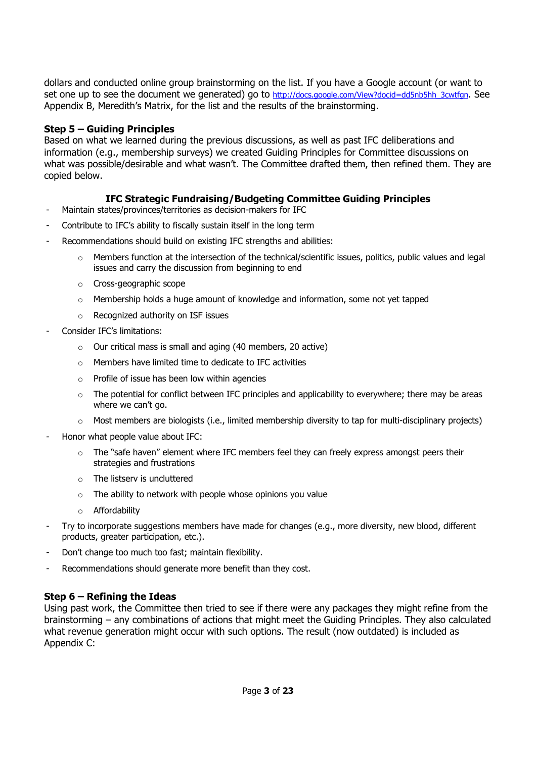dollars and conducted online group brainstorming on the list. If you have a Google account (or want to set one up to see the document we generated) go to http://docs.google.com/View?docid=dd5nb5hh\_3cwtfgn. See Appendix B, Meredith's Matrix, for the list and the results of the brainstorming.

### **Step 5 – Guiding Principles**

Based on what we learned during the previous discussions, as well as past IFC deliberations and information (e.g., membership surveys) we created Guiding Principles for Committee discussions on what was possible/desirable and what wasn't. The Committee drafted them, then refined them. They are copied below.

### **IFC Strategic Fundraising/Budgeting Committee Guiding Principles**

- Maintain states/provinces/territories as decision-makers for IFC
- Contribute to IFC's ability to fiscally sustain itself in the long term
- Recommendations should build on existing IFC strengths and abilities:
	- Members function at the intersection of the technical/scientific issues, politics, public values and legal issues and carry the discussion from beginning to end
	- o Cross-geographic scope
	- $\circ$  Membership holds a huge amount of knowledge and information, some not yet tapped
	- o Recognized authority on ISF issues
- Consider IFC's limitations:
	- o Our critical mass is small and aging (40 members, 20 active)
	- $\circ$  Members have limited time to dedicate to IFC activities
	- $\circ$  Profile of issue has been low within agencies
	- $\circ$  The potential for conflict between IFC principles and applicability to everywhere; there may be areas where we can't go.
	- $\circ$  Most members are biologists (i.e., limited membership diversity to tap for multi-disciplinary projects)
- Honor what people value about IFC:
	- $\circ$  The "safe haven" element where IFC members feel they can freely express amongst peers their strategies and frustrations
	- o The listserv is uncluttered
	- $\circ$  The ability to network with people whose opinions you value
	- o Affordability
- Try to incorporate suggestions members have made for changes (e.g., more diversity, new blood, different products, greater participation, etc.).
- Don't change too much too fast; maintain flexibility.
- Recommendations should generate more benefit than they cost.

### **Step 6 – Refining the Ideas**

Using past work, the Committee then tried to see if there were any packages they might refine from the brainstorming – any combinations of actions that might meet the Guiding Principles. They also calculated what revenue generation might occur with such options. The result (now outdated) is included as Appendix C: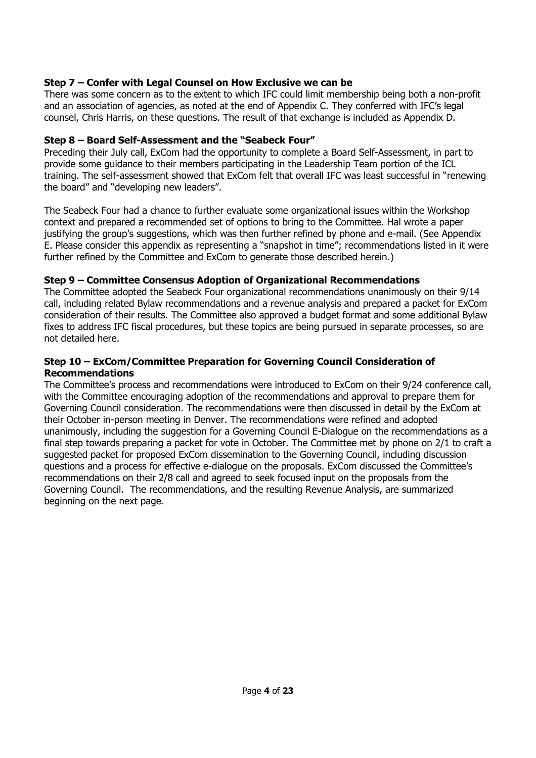## **Step 7 – Confer with Legal Counsel on How Exclusive we can be**

There was some concern as to the extent to which IFC could limit membership being both a non-profit and an association of agencies, as noted at the end of Appendix C. They conferred with IFC's legal counsel, Chris Harris, on these questions. The result of that exchange is included as Appendix D.

## **Step 8 – Board Self-Assessment and the "Seabeck Four"**

Preceding their July call, ExCom had the opportunity to complete a Board Self-Assessment, in part to provide some guidance to their members participating in the Leadership Team portion of the ICL training. The self-assessment showed that ExCom felt that overall IFC was least successful in "renewing the board" and "developing new leaders".

The Seabeck Four had a chance to further evaluate some organizational issues within the Workshop context and prepared a recommended set of options to bring to the Committee. Hal wrote a paper justifying the group's suggestions, which was then further refined by phone and e-mail. (See Appendix E. Please consider this appendix as representing a "snapshot in time"; recommendations listed in it were further refined by the Committee and ExCom to generate those described herein.)

### **Step 9 – Committee Consensus Adoption of Organizational Recommendations**

The Committee adopted the Seabeck Four organizational recommendations unanimously on their 9/14 call, including related Bylaw recommendations and a revenue analysis and prepared a packet for ExCom consideration of their results. The Committee also approved a budget format and some additional Bylaw fixes to address IFC fiscal procedures, but these topics are being pursued in separate processes, so are not detailed here.

### **Step 10 – ExCom/Committee Preparation for Governing Council Consideration of Recommendations**

The Committee's process and recommendations were introduced to ExCom on their 9/24 conference call, with the Committee encouraging adoption of the recommendations and approval to prepare them for Governing Council consideration. The recommendations were then discussed in detail by the ExCom at their October in-person meeting in Denver. The recommendations were refined and adopted unanimously, including the suggestion for a Governing Council E-Dialogue on the recommendations as a final step towards preparing a packet for vote in October. The Committee met by phone on 2/1 to craft a suggested packet for proposed ExCom dissemination to the Governing Council, including discussion questions and a process for effective e-dialogue on the proposals. ExCom discussed the Committee's recommendations on their 2/8 call and agreed to seek focused input on the proposals from the Governing Council. The recommendations, and the resulting Revenue Analysis, are summarized beginning on the next page.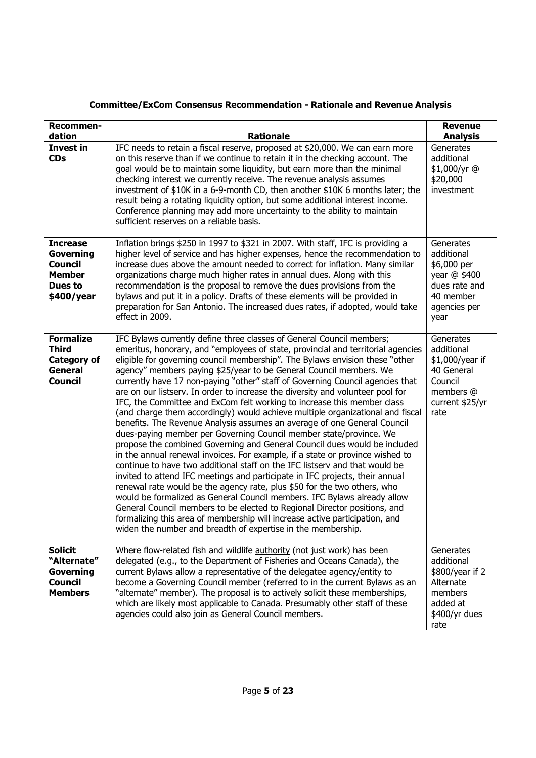|                                                                                                 | <b>Committee/ExCom Consensus Recommendation - Rationale and Revenue Analysis</b>                                                                                                                                                                                                                                                                                                                                                                                                                                                                                                                                                                                                                                                                                                                                                                                                                                                                                                                                                                                                                                                                                                                                                                                                                                                                                                                                                                                                                                   |                                                                                                              |
|-------------------------------------------------------------------------------------------------|--------------------------------------------------------------------------------------------------------------------------------------------------------------------------------------------------------------------------------------------------------------------------------------------------------------------------------------------------------------------------------------------------------------------------------------------------------------------------------------------------------------------------------------------------------------------------------------------------------------------------------------------------------------------------------------------------------------------------------------------------------------------------------------------------------------------------------------------------------------------------------------------------------------------------------------------------------------------------------------------------------------------------------------------------------------------------------------------------------------------------------------------------------------------------------------------------------------------------------------------------------------------------------------------------------------------------------------------------------------------------------------------------------------------------------------------------------------------------------------------------------------------|--------------------------------------------------------------------------------------------------------------|
| Recommen-<br>dation                                                                             | <b>Rationale</b>                                                                                                                                                                                                                                                                                                                                                                                                                                                                                                                                                                                                                                                                                                                                                                                                                                                                                                                                                                                                                                                                                                                                                                                                                                                                                                                                                                                                                                                                                                   | <b>Revenue</b><br><b>Analysis</b>                                                                            |
| <b>Invest in</b><br><b>CDs</b>                                                                  | IFC needs to retain a fiscal reserve, proposed at \$20,000. We can earn more<br>on this reserve than if we continue to retain it in the checking account. The<br>goal would be to maintain some liquidity, but earn more than the minimal<br>checking interest we currently receive. The revenue analysis assumes<br>investment of \$10K in a 6-9-month CD, then another \$10K 6 months later; the<br>result being a rotating liquidity option, but some additional interest income.<br>Conference planning may add more uncertainty to the ability to maintain<br>sufficient reserves on a reliable basis.                                                                                                                                                                                                                                                                                                                                                                                                                                                                                                                                                                                                                                                                                                                                                                                                                                                                                                        | Generates<br>additional<br>\$1,000/yr @<br>\$20,000<br>investment                                            |
| <b>Increase</b><br><b>Governing</b><br><b>Council</b><br><b>Member</b><br>Dues to<br>\$400/year | Inflation brings \$250 in 1997 to \$321 in 2007. With staff, IFC is providing a<br>higher level of service and has higher expenses, hence the recommendation to<br>increase dues above the amount needed to correct for inflation. Many similar<br>organizations charge much higher rates in annual dues. Along with this<br>recommendation is the proposal to remove the dues provisions from the<br>bylaws and put it in a policy. Drafts of these elements will be provided in<br>preparation for San Antonio. The increased dues rates, if adopted, would take<br>effect in 2009.                                                                                                                                                                                                                                                                                                                                                                                                                                                                                                                                                                                                                                                                                                                                                                                                                                                                                                                              | Generates<br>additional<br>\$6,000 per<br>year @ \$400<br>dues rate and<br>40 member<br>agencies per<br>year |
| <b>Formalize</b><br><b>Third</b><br><b>Category of</b><br><b>General</b><br><b>Council</b>      | IFC Bylaws currently define three classes of General Council members;<br>emeritus, honorary, and "employees of state, provincial and territorial agencies<br>eligible for governing council membership". The Bylaws envision these "other<br>agency" members paying \$25/year to be General Council members. We<br>currently have 17 non-paying "other" staff of Governing Council agencies that<br>are on our listserv. In order to increase the diversity and volunteer pool for<br>IFC, the Committee and ExCom felt working to increase this member class<br>(and charge them accordingly) would achieve multiple organizational and fiscal<br>benefits. The Revenue Analysis assumes an average of one General Council<br>dues-paying member per Governing Council member state/province. We<br>propose the combined Governing and General Council dues would be included<br>in the annual renewal invoices. For example, if a state or province wished to<br>continue to have two additional staff on the IFC listsery and that would be<br>invited to attend IFC meetings and participate in IFC projects, their annual<br>renewal rate would be the agency rate, plus \$50 for the two others, who<br>would be formalized as General Council members. IFC Bylaws already allow<br>General Council members to be elected to Regional Director positions, and<br>formalizing this area of membership will increase active participation, and<br>widen the number and breadth of expertise in the membership. | Generates<br>additional<br>\$1,000/year if<br>40 General<br>Council<br>members @<br>current \$25/yr<br>rate  |
| <b>Solicit</b><br>"Alternate"<br><b>Governing</b><br><b>Council</b><br><b>Members</b>           | Where flow-related fish and wildlife authority (not just work) has been<br>delegated (e.g., to the Department of Fisheries and Oceans Canada), the<br>current Bylaws allow a representative of the delegatee agency/entity to<br>become a Governing Council member (referred to in the current Bylaws as an<br>"alternate" member). The proposal is to actively solicit these memberships,<br>which are likely most applicable to Canada. Presumably other staff of these<br>agencies could also join as General Council members.                                                                                                                                                                                                                                                                                                                                                                                                                                                                                                                                                                                                                                                                                                                                                                                                                                                                                                                                                                                  | Generates<br>additional<br>\$800/year if 2<br>Alternate<br>members<br>added at<br>\$400/yr dues<br>rate      |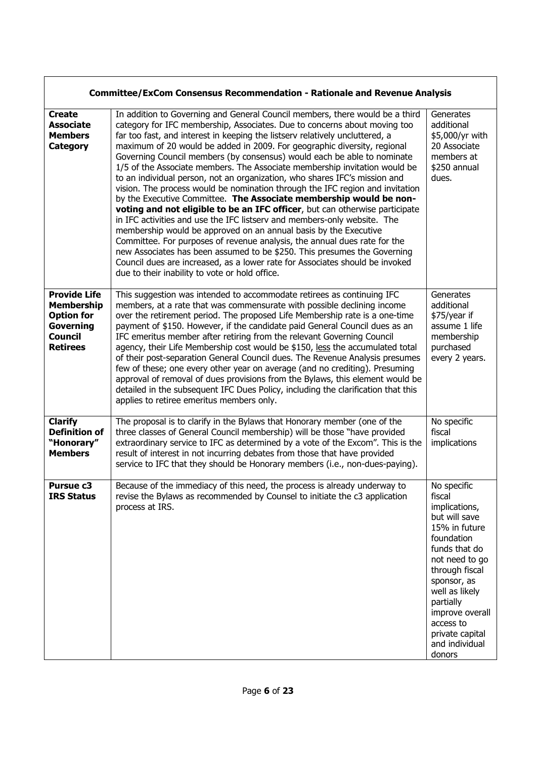|                                                                                                                 | <b>Committee/ExCom Consensus Recommendation - Rationale and Revenue Analysis</b>                                                                                                                                                                                                                                                                                                                                                                                                                                                                                                                                                                                                                                                                                                                                                                                                                                                                                                                                                                                                                                                                                                                                                              |                                                                                                                                                                                                                                                                          |
|-----------------------------------------------------------------------------------------------------------------|-----------------------------------------------------------------------------------------------------------------------------------------------------------------------------------------------------------------------------------------------------------------------------------------------------------------------------------------------------------------------------------------------------------------------------------------------------------------------------------------------------------------------------------------------------------------------------------------------------------------------------------------------------------------------------------------------------------------------------------------------------------------------------------------------------------------------------------------------------------------------------------------------------------------------------------------------------------------------------------------------------------------------------------------------------------------------------------------------------------------------------------------------------------------------------------------------------------------------------------------------|--------------------------------------------------------------------------------------------------------------------------------------------------------------------------------------------------------------------------------------------------------------------------|
| <b>Create</b><br><b>Associate</b><br><b>Members</b><br>Category                                                 | In addition to Governing and General Council members, there would be a third<br>category for IFC membership, Associates. Due to concerns about moving too<br>far too fast, and interest in keeping the listserv relatively uncluttered, a<br>maximum of 20 would be added in 2009. For geographic diversity, regional<br>Governing Council members (by consensus) would each be able to nominate<br>1/5 of the Associate members. The Associate membership invitation would be<br>to an individual person, not an organization, who shares IFC's mission and<br>vision. The process would be nomination through the IFC region and invitation<br>by the Executive Committee. The Associate membership would be non-<br>voting and not eligible to be an IFC officer, but can otherwise participate<br>in IFC activities and use the IFC listserv and members-only website. The<br>membership would be approved on an annual basis by the Executive<br>Committee. For purposes of revenue analysis, the annual dues rate for the<br>new Associates has been assumed to be \$250. This presumes the Governing<br>Council dues are increased, as a lower rate for Associates should be invoked<br>due to their inability to vote or hold office. | Generates<br>additional<br>\$5,000/yr with<br>20 Associate<br>members at<br>\$250 annual<br>dues.                                                                                                                                                                        |
| <b>Provide Life</b><br><b>Membership</b><br><b>Option for</b><br>Governing<br><b>Council</b><br><b>Retirees</b> | This suggestion was intended to accommodate retirees as continuing IFC<br>members, at a rate that was commensurate with possible declining income<br>over the retirement period. The proposed Life Membership rate is a one-time<br>payment of \$150. However, if the candidate paid General Council dues as an<br>IFC emeritus member after retiring from the relevant Governing Council<br>agency, their Life Membership cost would be \$150, less the accumulated total<br>of their post-separation General Council dues. The Revenue Analysis presumes<br>few of these; one every other year on average (and no crediting). Presuming<br>approval of removal of dues provisions from the Bylaws, this element would be<br>detailed in the subsequent IFC Dues Policy, including the clarification that this<br>applies to retiree emeritus members only.                                                                                                                                                                                                                                                                                                                                                                                  | Generates<br>additional<br>\$75/year if<br>assume 1 life<br>membership<br>purchased<br>every 2 years.                                                                                                                                                                    |
| <b>Clarify</b><br><b>Definition of</b><br>"Honorary"<br><b>Members</b>                                          | The proposal is to clarify in the Bylaws that Honorary member (one of the<br>three classes of General Council membership) will be those "have provided<br>extraordinary service to IFC as determined by a vote of the Excom". This is the<br>result of interest in not incurring debates from those that have provided<br>service to IFC that they should be Honorary members (i.e., non-dues-paying).                                                                                                                                                                                                                                                                                                                                                                                                                                                                                                                                                                                                                                                                                                                                                                                                                                        | No specific<br>fiscal<br>implications                                                                                                                                                                                                                                    |
| Pursue c3<br><b>IRS Status</b>                                                                                  | Because of the immediacy of this need, the process is already underway to<br>revise the Bylaws as recommended by Counsel to initiate the c3 application<br>process at IRS.                                                                                                                                                                                                                                                                                                                                                                                                                                                                                                                                                                                                                                                                                                                                                                                                                                                                                                                                                                                                                                                                    | No specific<br>fiscal<br>implications,<br>but will save<br>15% in future<br>foundation<br>funds that do<br>not need to go<br>through fiscal<br>sponsor, as<br>well as likely<br>partially<br>improve overall<br>access to<br>private capital<br>and individual<br>donors |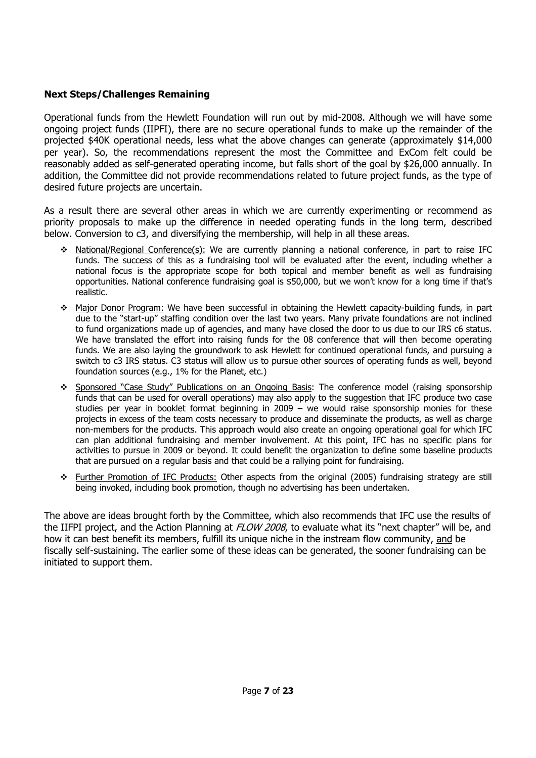## **Next Steps/Challenges Remaining**

Operational funds from the Hewlett Foundation will run out by mid-2008. Although we will have some ongoing project funds (IIPFI), there are no secure operational funds to make up the remainder of the projected \$40K operational needs, less what the above changes can generate (approximately \$14,000 per year). So, the recommendations represent the most the Committee and ExCom felt could be reasonably added as self-generated operating income, but falls short of the goal by \$26,000 annually. In addition, the Committee did not provide recommendations related to future project funds, as the type of desired future projects are uncertain.

As a result there are several other areas in which we are currently experimenting or recommend as priority proposals to make up the difference in needed operating funds in the long term, described below. Conversion to c3, and diversifying the membership, will help in all these areas.

- National/Regional Conference(s): We are currently planning a national conference, in part to raise IFC funds. The success of this as a fundraising tool will be evaluated after the event, including whether a national focus is the appropriate scope for both topical and member benefit as well as fundraising opportunities. National conference fundraising goal is \$50,000, but we won't know for a long time if that's realistic.
- Major Donor Program: We have been successful in obtaining the Hewlett capacity-building funds, in part due to the "start-up" staffing condition over the last two years. Many private foundations are not inclined to fund organizations made up of agencies, and many have closed the door to us due to our IRS c6 status. We have translated the effort into raising funds for the 08 conference that will then become operating funds. We are also laying the groundwork to ask Hewlett for continued operational funds, and pursuing a switch to c3 IRS status. C3 status will allow us to pursue other sources of operating funds as well, beyond foundation sources (e.g., 1% for the Planet, etc.)
- \* Sponsored "Case Study" Publications on an Ongoing Basis: The conference model (raising sponsorship funds that can be used for overall operations) may also apply to the suggestion that IFC produce two case studies per year in booklet format beginning in 2009 – we would raise sponsorship monies for these projects in excess of the team costs necessary to produce and disseminate the products, as well as charge non-members for the products. This approach would also create an ongoing operational goal for which IFC can plan additional fundraising and member involvement. At this point, IFC has no specific plans for activities to pursue in 2009 or beyond. It could benefit the organization to define some baseline products that are pursued on a regular basis and that could be a rallying point for fundraising.
- \* Further Promotion of IFC Products: Other aspects from the original (2005) fundraising strategy are still being invoked, including book promotion, though no advertising has been undertaken.

The above are ideas brought forth by the Committee, which also recommends that IFC use the results of the IIFPI project, and the Action Planning at FLOW 2008, to evaluate what its "next chapter" will be, and how it can best benefit its members, fulfill its unique niche in the instream flow community, and be fiscally self-sustaining. The earlier some of these ideas can be generated, the sooner fundraising can be initiated to support them.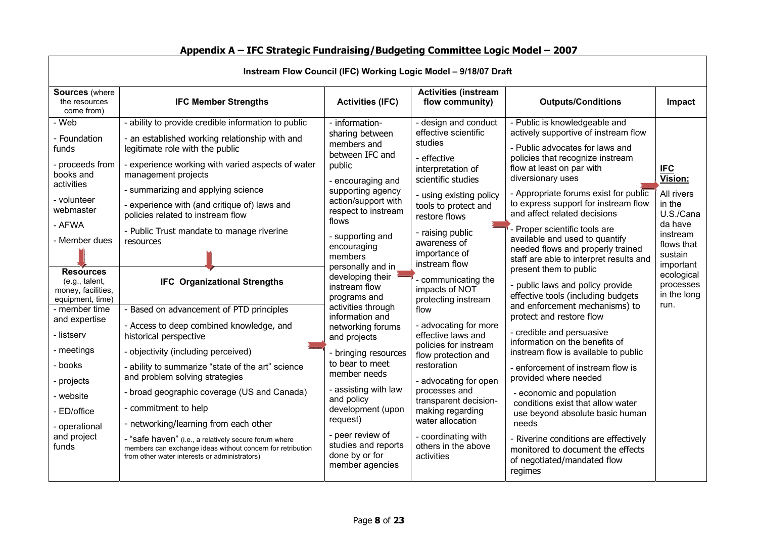| Instream Flow Council (IFC) Working Logic Model - 9/18/07 Draft                                                                                                                                                                                                                                                                                                                                                                                                   |                                                                                                                                                                                                                                                                                                                                                                                                                                                                                                                                                                                                                                                                                                                                                                                                                                                                                                    |                                                                                                                                                                                                                                                                                                                                                                                                                                                                                                                                                                                                        |                                                                                                                                                                                                                                                                                                                                                                                                                                                                                                                                                                                                                          |                                                                                                                                                                                                                                                                                                                                                                                                                                                                                                                                                                                                                                                                                                                                                                                                                                                                                                                                                                                                                                                 |                                                                                                                                                                           |
|-------------------------------------------------------------------------------------------------------------------------------------------------------------------------------------------------------------------------------------------------------------------------------------------------------------------------------------------------------------------------------------------------------------------------------------------------------------------|----------------------------------------------------------------------------------------------------------------------------------------------------------------------------------------------------------------------------------------------------------------------------------------------------------------------------------------------------------------------------------------------------------------------------------------------------------------------------------------------------------------------------------------------------------------------------------------------------------------------------------------------------------------------------------------------------------------------------------------------------------------------------------------------------------------------------------------------------------------------------------------------------|--------------------------------------------------------------------------------------------------------------------------------------------------------------------------------------------------------------------------------------------------------------------------------------------------------------------------------------------------------------------------------------------------------------------------------------------------------------------------------------------------------------------------------------------------------------------------------------------------------|--------------------------------------------------------------------------------------------------------------------------------------------------------------------------------------------------------------------------------------------------------------------------------------------------------------------------------------------------------------------------------------------------------------------------------------------------------------------------------------------------------------------------------------------------------------------------------------------------------------------------|-------------------------------------------------------------------------------------------------------------------------------------------------------------------------------------------------------------------------------------------------------------------------------------------------------------------------------------------------------------------------------------------------------------------------------------------------------------------------------------------------------------------------------------------------------------------------------------------------------------------------------------------------------------------------------------------------------------------------------------------------------------------------------------------------------------------------------------------------------------------------------------------------------------------------------------------------------------------------------------------------------------------------------------------------|---------------------------------------------------------------------------------------------------------------------------------------------------------------------------|
| <b>Sources</b> (where<br>the resources<br>come from)                                                                                                                                                                                                                                                                                                                                                                                                              | <b>IFC Member Strengths</b>                                                                                                                                                                                                                                                                                                                                                                                                                                                                                                                                                                                                                                                                                                                                                                                                                                                                        | <b>Activities (IFC)</b>                                                                                                                                                                                                                                                                                                                                                                                                                                                                                                                                                                                | <b>Activities (instream</b><br>flow community)                                                                                                                                                                                                                                                                                                                                                                                                                                                                                                                                                                           | <b>Outputs/Conditions</b>                                                                                                                                                                                                                                                                                                                                                                                                                                                                                                                                                                                                                                                                                                                                                                                                                                                                                                                                                                                                                       | Impact                                                                                                                                                                    |
| Web<br>- Foundation<br>funds<br>- proceeds from<br>books and<br>management projects<br>activities<br>- volunteer<br>webmaster<br>- AFWA<br>- Member dues<br>resources<br><b>Resources</b><br>(e.g., talent,<br>money, facilities,<br>equipment, time)<br>- member time<br>and expertise<br>- listserv<br>historical perspective<br>- meetings<br>- books<br>projects<br>- website<br>- commitment to help<br>- ED/office<br>- operational<br>and project<br>funds | - ability to provide credible information to public<br>- an established working relationship with and<br>legitimate role with the public<br>- experience working with varied aspects of water<br>- summarizing and applying science<br>- experience with (and critique of) laws and<br>policies related to instream flow<br>- Public Trust mandate to manage riverine<br><b>IFC Organizational Strengths</b><br>- Based on advancement of PTD principles<br>- Access to deep combined knowledge, and<br>- objectivity (including perceived)<br>- ability to summarize "state of the art" science<br>and problem solving strategies<br>- broad geographic coverage (US and Canada)<br>- networking/learning from each other<br>- "safe haven" (i.e., a relatively secure forum where<br>members can exchange ideas without concern for retribution<br>from other water interests or administrators) | - information-<br>sharing between<br>members and<br>between IFC and<br>public<br>- encouraging and<br>supporting agency<br>action/support with<br>respect to instream<br>flows<br>- supporting and<br>encouraging<br>members<br>personally and in<br>developing their<br>instream flow<br>programs and<br>activities through<br>information and<br>networking forums<br>and projects<br>- bringing resources<br>to bear to meet<br>member needs<br>- assisting with law<br>and policy<br>development (upon<br>request)<br>- peer review of<br>studies and reports<br>done by or for<br>member agencies | - design and conduct<br>effective scientific<br>studies<br>- effective<br>interpretation of<br>scientific studies<br>- using existing policy<br>tools to protect and<br>restore flows<br>- raising public<br>awareness of<br>importance of<br>instream flow<br>- communicating the<br>impacts of NOT<br>protecting instream<br>flow<br>- advocating for more<br>effective laws and<br>policies for instream<br>flow protection and<br>restoration<br>- advocating for open<br>processes and<br>transparent decision-<br>making regarding<br>water allocation<br>- coordinating with<br>others in the above<br>activities | - Public is knowledgeable and<br>actively supportive of instream flow<br>- Public advocates for laws and<br>policies that recognize instream<br>flow at least on par with<br>diversionary uses<br>- Appropriate forums exist for public<br>to express support for instream flow<br>and affect related decisions<br>- Proper scientific tools are<br>available and used to quantify<br>needed flows and properly trained<br>staff are able to interpret results and<br>present them to public<br>- public laws and policy provide<br>effective tools (including budgets<br>and enforcement mechanisms) to<br>protect and restore flow<br>- credible and persuasive<br>information on the benefits of<br>instream flow is available to public<br>- enforcement of instream flow is<br>provided where needed<br>- economic and population<br>conditions exist that allow water<br>use beyond absolute basic human<br>needs<br>- Riverine conditions are effectively<br>monitored to document the effects<br>of negotiated/mandated flow<br>regimes | <b>IFC</b><br>Vision:<br>All rivers<br>in the<br>U.S./Cana<br>da have<br>instream<br>flows that<br>sustain<br>important<br>ecological<br>processes<br>in the long<br>run. |

# **Appendix A – IFC Strategic Fundraising/Budgeting Committee Logic Model – 2007**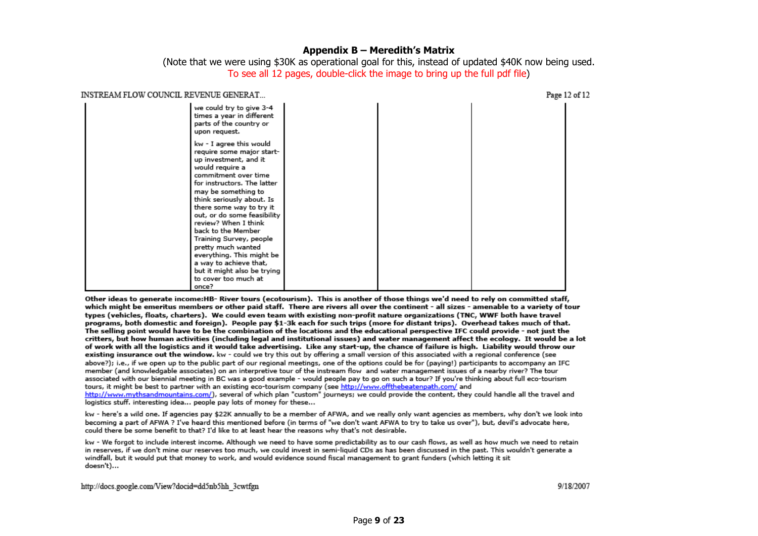#### **Appendix B – Meredith's Matrix**

(Note that we were using \$30K as operational goal for this, instead of updated \$40K now being used. To see all 12 pages, double-click the image to bring up the full pdf file)

| INSTREAM FLOW COUNCIL REVENUE GENERAT |                                                                                                                                                                                                                                                                                                                                                                                                                                                                                     |  | Page 12 of 12 |
|---------------------------------------|-------------------------------------------------------------------------------------------------------------------------------------------------------------------------------------------------------------------------------------------------------------------------------------------------------------------------------------------------------------------------------------------------------------------------------------------------------------------------------------|--|---------------|
|                                       | we could try to give 3-4<br>times a year in different<br>parts of the country or<br>upon request.                                                                                                                                                                                                                                                                                                                                                                                   |  |               |
|                                       | kw - I agree this would<br>require some major start-<br>up investment, and it<br>would require a<br>commitment over time<br>for instructors. The latter<br>may be something to<br>think seriously about. Is<br>there some way to try it<br>out, or do some feasibility<br>review? When I think<br>back to the Member<br>Training Survey, people<br>pretty much wanted<br>everything. This might be<br>a way to achieve that,<br>but it might also be trying<br>to cover too much at |  |               |
|                                       | once?                                                                                                                                                                                                                                                                                                                                                                                                                                                                               |  |               |

Other ideas to generate income:HB- River tours (ecotourism). This is another of those things we'd need to rely on committed staff, which might be emeritus members or other paid staff. There are rivers all over the continent - all sizes - amenable to a variety of tour types (vehicles, floats, charters). We could even team with existing non-profit nature organizations (TNC, WWF both have travel programs, both domestic and foreign). People pay \$1-3k each for such trips (more for distant trips). Overhead takes much of that. The selling point would have to be the combination of the locations and the educational perspective IFC could provide - not just the critters, but how human activities (including legal and institutional issues) and water management affect the ecology. It would be a lot of work with all the logistics and it would take advertising. Like any start-up, the chance of failure is high. Liability would throw our existing insurance out the window. kw - could we try this out by offering a small version of this associated with a regional conference (see above?); i.e., if we open up to the public part of our regional meetings, one of the options could be for (paying!) participants to accompany an IFC member (and knowledgable associates) on an interpretive tour of the instream flow and water management issues of a nearby river? The tour associated with our biennial meeting in BC was a good example - would people pay to go on such a tour? If you're thinking about full eco-tourism tours, it might be best to partner with an existing eco-tourism company (see http://www.offthebeatenpath.com/ and http://www.mythsandmountains.com/), several of which plan "custom" journeys; we could provide the content, they could handle all the travel and logistics stuff. interesting idea... people pay lots of money for these...

kw - here's a wild one. If agencies pay \$22K annually to be a member of AFWA, and we really only want agencies as members, why don't we look into becoming a part of AFWA ? I've heard this mentioned before (in terms of "we don't want AFWA to try to take us over"), but, devil's advocate here, could there be some benefit to that? I'd like to at least hear the reasons why that's not desirable.

kw - We forgot to include interest income. Although we need to have some predictability as to our cash flows, as well as how much we need to retain in reserves, if we don't mine our reserves too much, we could invest in semi-liquid CDs as has been discussed in the past. This wouldn't generate a windfall, but it would put that money to work, and would evidence sound fiscal management to grant funders (which letting it sit doesn't)...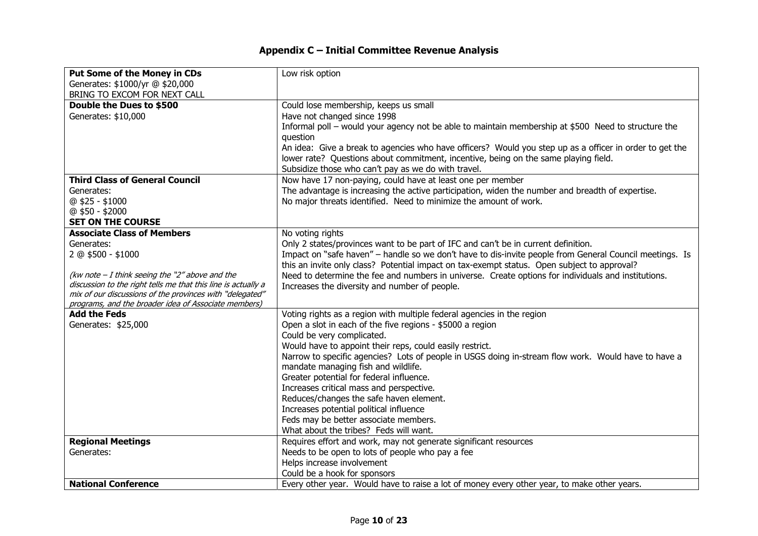# **Appendix C – Initial Committee Revenue Analysis**

| <b>Put Some of the Money in CDs</b>                                                                               | Low risk option                                                                                         |
|-------------------------------------------------------------------------------------------------------------------|---------------------------------------------------------------------------------------------------------|
| Generates: \$1000/yr @ \$20,000                                                                                   |                                                                                                         |
| BRING TO EXCOM FOR NEXT CALL                                                                                      |                                                                                                         |
| Double the Dues to \$500                                                                                          | Could lose membership, keeps us small                                                                   |
| Generates: \$10,000                                                                                               | Have not changed since 1998                                                                             |
|                                                                                                                   | Informal poll - would your agency not be able to maintain membership at \$500 Need to structure the     |
|                                                                                                                   | question                                                                                                |
|                                                                                                                   | An idea: Give a break to agencies who have officers? Would you step up as a officer in order to get the |
|                                                                                                                   | lower rate? Questions about commitment, incentive, being on the same playing field.                     |
|                                                                                                                   | Subsidize those who can't pay as we do with travel.                                                     |
| <b>Third Class of General Council</b>                                                                             | Now have 17 non-paying, could have at least one per member                                              |
| Generates:                                                                                                        | The advantage is increasing the active participation, widen the number and breadth of expertise.        |
| @ \$25 - \$1000                                                                                                   | No major threats identified. Need to minimize the amount of work.                                       |
| $@$ \$50 - \$2000                                                                                                 |                                                                                                         |
| <b>SET ON THE COURSE</b>                                                                                          |                                                                                                         |
| <b>Associate Class of Members</b>                                                                                 | No voting rights                                                                                        |
| Generates:                                                                                                        | Only 2 states/provinces want to be part of IFC and can't be in current definition.                      |
| 2 @ \$500 - \$1000                                                                                                | Impact on "safe haven" - handle so we don't have to dis-invite people from General Council meetings. Is |
|                                                                                                                   | this an invite only class? Potential impact on tax-exempt status. Open subject to approval?             |
| (kw note $-I$ think seeing the "2" above and the<br>discussion to the right tells me that this line is actually a | Need to determine the fee and numbers in universe. Create options for individuals and institutions.     |
| mix of our discussions of the provinces with "delegated"                                                          | Increases the diversity and number of people.                                                           |
| programs, and the broader idea of Associate members)                                                              |                                                                                                         |
| <b>Add the Feds</b>                                                                                               | Voting rights as a region with multiple federal agencies in the region                                  |
| Generates: \$25,000                                                                                               | Open a slot in each of the five regions - \$5000 a region                                               |
|                                                                                                                   | Could be very complicated.                                                                              |
|                                                                                                                   | Would have to appoint their reps, could easily restrict.                                                |
|                                                                                                                   | Narrow to specific agencies? Lots of people in USGS doing in-stream flow work. Would have to have a     |
|                                                                                                                   | mandate managing fish and wildlife.                                                                     |
|                                                                                                                   | Greater potential for federal influence.                                                                |
|                                                                                                                   | Increases critical mass and perspective.                                                                |
|                                                                                                                   | Reduces/changes the safe haven element.                                                                 |
|                                                                                                                   | Increases potential political influence                                                                 |
|                                                                                                                   | Feds may be better associate members.                                                                   |
|                                                                                                                   | What about the tribes? Feds will want.                                                                  |
| <b>Regional Meetings</b>                                                                                          | Requires effort and work, may not generate significant resources                                        |
| Generates:                                                                                                        | Needs to be open to lots of people who pay a fee                                                        |
|                                                                                                                   | Helps increase involvement                                                                              |
|                                                                                                                   | Could be a hook for sponsors                                                                            |
| <b>National Conference</b>                                                                                        | Every other year. Would have to raise a lot of money every other year, to make other years.             |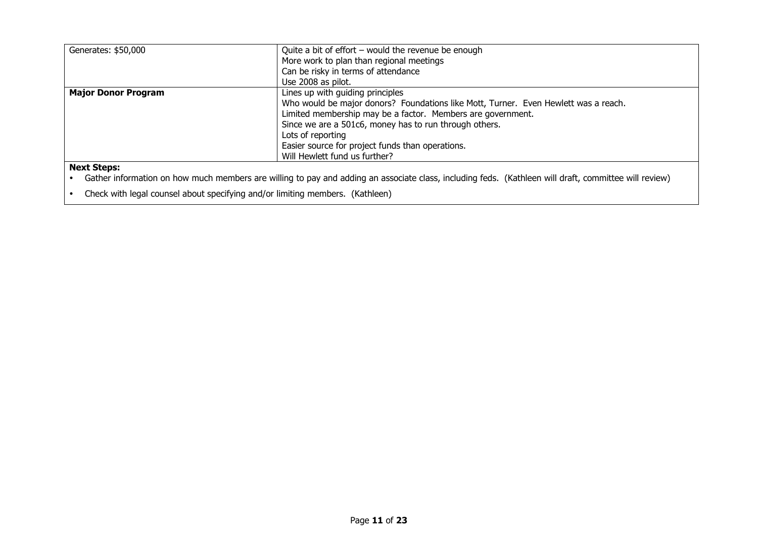| Generates: \$50,000        | Quite a bit of effort $-$ would the revenue be enough                               |
|----------------------------|-------------------------------------------------------------------------------------|
|                            | More work to plan than regional meetings                                            |
|                            | Can be risky in terms of attendance                                                 |
|                            | Use 2008 as pilot.                                                                  |
| <b>Major Donor Program</b> | Lines up with quiding principles                                                    |
|                            | Who would be major donors? Foundations like Mott, Turner. Even Hewlett was a reach. |
|                            | Limited membership may be a factor. Members are government.                         |
|                            | Since we are a 501c6, money has to run through others.                              |
|                            | Lots of reporting                                                                   |
|                            | Easier source for project funds than operations.                                    |
|                            | Will Hewlett fund us further?                                                       |
| Navt Ctanc:                |                                                                                     |

#### **Next Steps:**

 $\bullet$ Gather information on how much members are willing to pay and adding an associate class, including feds. (Kathleen will draft, committee will review)

 $\bullet$ Check with legal counsel about specifying and/or limiting members. (Kathleen)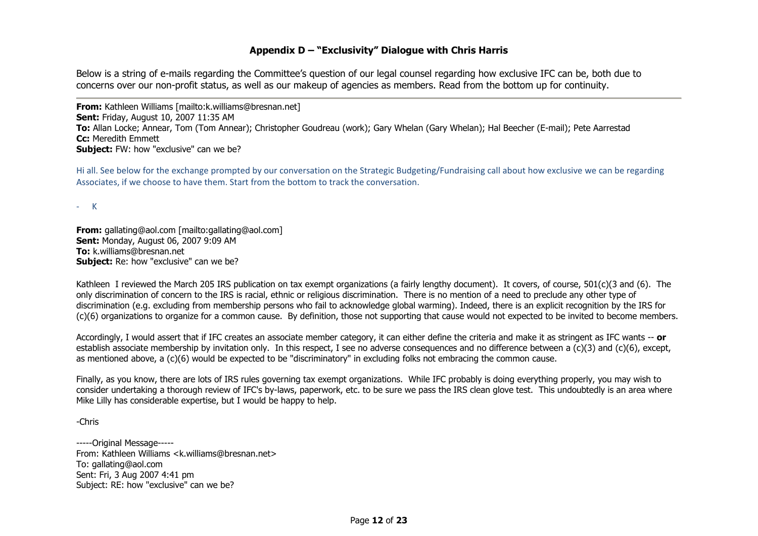### **Appendix D – "Exclusivity" Dialogue with Chris Harris**

Below is a string of e-mails regarding the Committee's question of our legal counsel regarding how exclusive IFC can be, both due to concerns over our non-profit status, as well as our makeup of agencies as members. Read from the bottom up for continuity.

**From:** Kathleen Williams [mailto:k.williams@bresnan.net] **Sent:** Friday, August 10, 2007 11:35 AM **To:** Allan Locke; Annear, Tom (Tom Annear); Christopher Goudreau (work); Gary Whelan (Gary Whelan); Hal Beecher (E-mail); Pete Aarrestad **Cc:** Meredith Emmett **Subject:** FW: how "exclusive" can we be?

Hi all. See below for the exchange prompted by our conversation on the Strategic Budgeting/Fundraising call about how exclusive we can be regarding Associates, if we choose to have them. Start from the bottom to track the conversation.

‐ K

**From:** gallating@aol.com [mailto:gallating@aol.com] **Sent:** Monday, August 06, 2007 9:09 AM **To:** k.williams@bresnan.net **Subject:** Re: how "exclusive" can we be?

Kathleen I reviewed the March 205 IRS publication on tax exempt organizations (a fairly lengthy document). It covers, of course, 501(c)(3 and (6). The only discrimination of concern to the IRS is racial, ethnic or religious discrimination. There is no mention of a need to preclude any other type of discrimination (e.g. excluding from membership persons who fail to acknowledge global warming). Indeed, there is an explicit recognition by the IRS for (c)(6) organizations to organize for a common cause. By definition, those not supporting that cause would not expected to be invited to become members.

Accordingly, I would assert that if IFC creates an associate member category, it can either define the criteria and make it as stringent as IFC wants -- **or** establish associate membership by invitation only. In this respect, I see no adverse consequences and no difference between a (c)(3) and (c)(6), except, as mentioned above, a (c)(6) would be expected to be "discriminatory" in excluding folks not embracing the common cause.

Finally, as you know, there are lots of IRS rules governing tax exempt organizations. While IFC probably is doing everything properly, you may wish to consider undertaking a thorough review of IFC's by-laws, paperwork, etc. to be sure we pass the IRS clean glove test. This undoubtedly is an area where Mike Lilly has considerable expertise, but I would be happy to help.

-Chris

-----Original Message----- From: Kathleen Williams <k.williams@bresnan.net> To: gallating@aol.com Sent: Fri, 3 Aug 2007 4:41 pm Subject: RE: how "exclusive" can we be?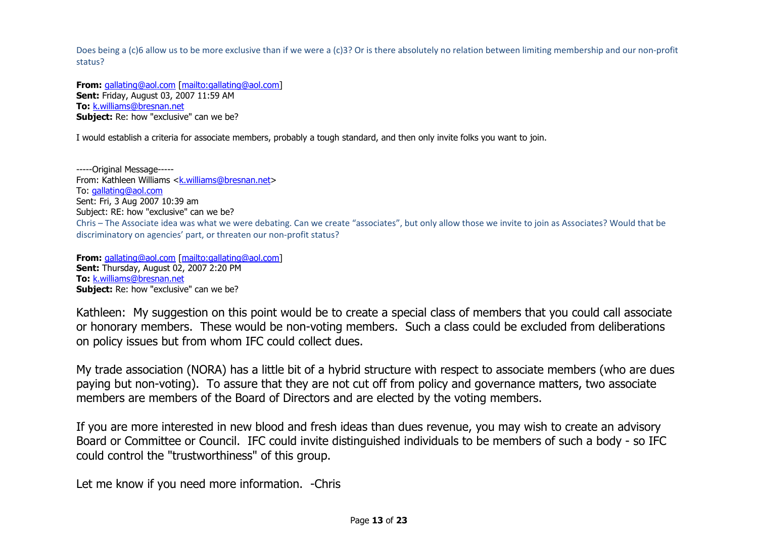Does being a (c)6 allow us to be more exclusive than if we were a (c)3? Or is there absolutely no relation between limiting membership and our non-profit status?

**From:** gallating@aol.com [mailto:gallating@aol.com] **Sent:** Friday, August 03, 2007 11:59 AM **To:** k.williams@bresnan.net **Subject:** Re: how "exclusive" can we be?

I would establish a criteria for associate members, probably a tough standard, and then only invite folks you want to join.

-----Original Message----- From: Kathleen Williams <k.williams@bresnan.net> To: gallating@aol.com Sent: Fri, 3 Aug 2007 10:39 am Subject: RE: how "exclusive" can we be? Chris – The Associate idea was what we were debating. Can we create "associates", but only allow those we invite to join as Associates? Would that be discriminatory on agencies' part, or threaten our non‐profit status?

**From:** gallating@aol.com [mailto:gallating@aol.com] **Sent:** Thursday, August 02, 2007 2:20 PM **To:** k.williams@bresnan.net **Subject:** Re: how "exclusive" can we be?

Kathleen: My suggestion on this point would be to create a special class of members that you could call associate or honorary members. These would be non-voting members. Such a class could be excluded from deliberations on policy issues but from whom IFC could collect dues.

My trade association (NORA) has a little bit of a hybrid structure with respect to associate members (who are dues paying but non-voting). To assure that they are not cut off from policy and governance matters, two associate members are members of the Board of Directors and are elected by the voting members.

If you are more interested in new blood and fresh ideas than dues revenue, you may wish to create an advisory Board or Committee or Council. IFC could invite distinguished individuals to be members of such a body - so IFC could control the "trustworthiness" of this group.

Let me know if you need more information. -Chris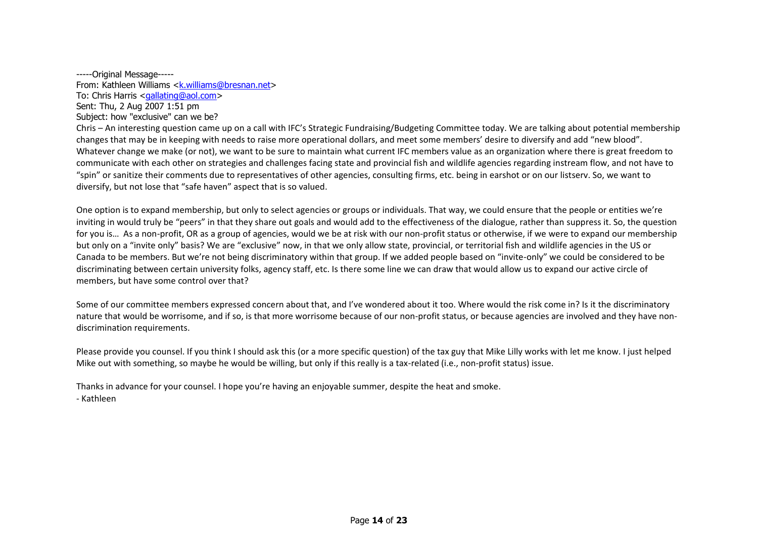-----Original Message----- From: Kathleen Williams <k.williams@bresnan.net> To: Chris Harris <gallating@aol.com> Sent: Thu, 2 Aug 2007 1:51 pm Subject: how "exclusive" can we be?

Chris – An interesting question came up on a call with IFC's Strategic Fundraising/Budgeting Committee today. We are talking about potential membership changes that may be in keeping with needs to raise more operational dollars, and meet some members' desire to diversify and add "new blood". Whatever change we make (or not), we want to be sure to maintain what current IFC members value as an organization where there is great freedom to communicate with each other on strategies and challenges facing state and provincial fish and wildlife agencies regarding instream flow, and not have to "spin" or sanitize their comments due to representatives of other agencies, consulting firms, etc. being in earshot or on our listserv. So, we want to diversify, but not lose that "safe haven" aspect that is so valued.

One option is to expand membership, but only to select agencies or groups or individuals. That way, we could ensure that the people or entities we're inviting in would truly be "peers" in that they share out goals and would add to the effectiveness of the dialogue, rather than suppress it. So, the question for you is... As a non-profit, OR as a group of agencies, would we be at risk with our non-profit status or otherwise, if we were to expand our membership but only on a "invite only" basis? We are "exclusive" now, in that we only allow state, provincial, or territorial fish and wildlife agencies in the US or Canada to be members. But we're not being discriminatory within that group. If we added people based on "invite‐only" we could be considered to be discriminating between certain university folks, agency staff, etc. Is there some line we can draw that would allow us to expand our active circle of members, but have some control over that?

Some of our committee members expressed concern about that, and I've wondered about it too. Where would the risk come in? Is it the discriminatory nature that would be worrisome, and if so, is that more worrisome because of our non-profit status, or because agencies are involved and they have nondiscrimination requirements.

Please provide you counsel. If you think I should ask this (or a more specific question) of the tax guy that Mike Lilly works with let me know. I just helped Mike out with something, so maybe he would be willing, but only if this really is a tax-related (i.e., non-profit status) issue.

Thanks in advance for your counsel. I hope you're having an enjoyable summer, despite the heat and smoke. ‐ Kathleen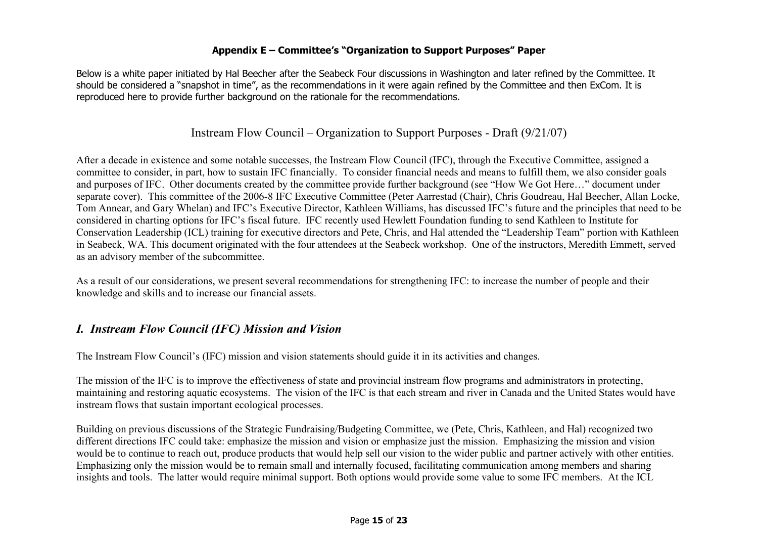### **Appendix E – Committee's "Organization to Support Purposes" Paper**

Below is a white paper initiated by Hal Beecher after the Seabeck Four discussions in Washington and later refined by the Committee. It should be considered a "snapshot in time", as the recommendations in it were again refined by the Committee and then ExCom. It is reproduced here to provide further background on the rationale for the recommendations.

## Instream Flow Council – Organization to Support Purposes - Draft (9/21/07)

After a decade in existence and some notable successes, the Instream Flow Council (IFC), through the Executive Committee, assigned a committee to consider, in part, how to sustain IFC financially. To consider financial needs and means to fulfill them, we also consider goals and purposes of IFC. Other documents created by the committee provide further background (see "How We Got Here…" document under separate cover). This committee of the 2006-8 IFC Executive Committee (Peter Aarrestad (Chair), Chris Goudreau, Hal Beecher, Allan Locke, Tom Annear, and Gary Whelan) and IFC's Executive Director, Kathleen Williams, has discussed IFC's future and the principles that need to be considered in charting options for IFC's fiscal future. IFC recently used Hewlett Foundation funding to send Kathleen to Institute for Conservation Leadership (ICL) training for executive directors and Pete, Chris, and Hal attended the "Leadership Team" portion with Kathleen in Seabeck, WA. This document originated with the four attendees at the Seabeck workshop. One of the instructors, Meredith Emmett, served as an advisory member of the subcommittee.

As a result of our considerations, we present several recommendations for strengthening IFC: to increase the number of people and their knowledge and skills and to increase our financial assets.

## *I. Instream Flow Council (IFC) Mission and Vision*

The Instream Flow Council's (IFC) mission and vision statements should guide it in its activities and changes.

The mission of the IFC is to improve the effectiveness of state and provincial instream flow programs and administrators in protecting, maintaining and restoring aquatic ecosystems. The vision of the IFC is that each stream and river in Canada and the United States would have instream flows that sustain important ecological processes.

Building on previous discussions of the Strategic Fundraising/Budgeting Committee, we (Pete, Chris, Kathleen, and Hal) recognized two different directions IFC could take: emphasize the mission and vision or emphasize just the mission. Emphasizing the mission and vision would be to continue to reach out, produce products that would help sell our vision to the wider public and partner actively with other entities. Emphasizing only the mission would be to remain small and internally focused, facilitating communication among members and sharing insights and tools. The latter would require minimal support. Both options would provide some value to some IFC members. At the ICL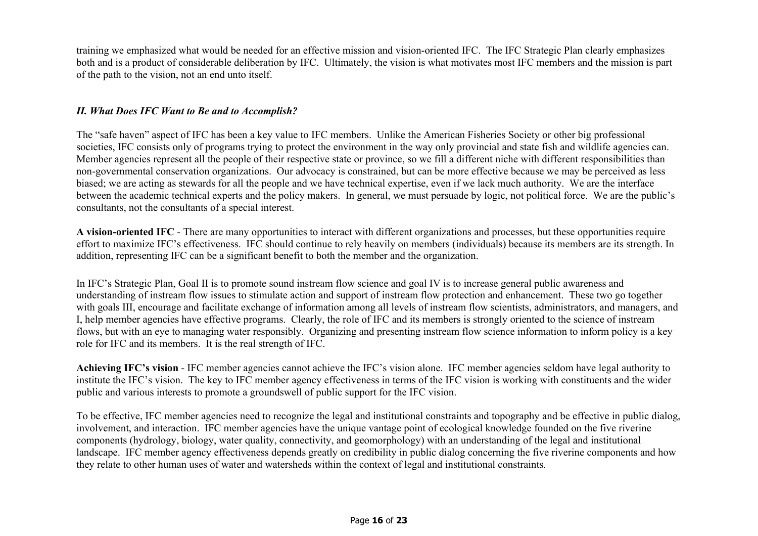training we emphasized what would be needed for an effective mission and vision-oriented IFC. The IFC Strategic Plan clearly emphasizes both and is a product of considerable deliberation by IFC. Ultimately, the vision is what motivates most IFC members and the mission is part of the path to the vision, not an end unto itself.

### *II. What Does IFC Want to Be and to Accomplish?*

The "safe haven" aspect of IFC has been a key value to IFC members. Unlike the American Fisheries Society or other big professional societies, IFC consists only of programs trying to protect the environment in the way only provincial and state fish and wildlife agencies can. Member agencies represent all the people of their respective state or province, so we fill a different niche with different responsibilities than non-governmental conservation organizations. Our advocacy is constrained, but can be more effective because we may be perceived as less biased; we are acting as stewards for all the people and we have technical expertise, even if we lack much authority. We are the interface between the academic technical experts and the policy makers. In general, we must persuade by logic, not political force. We are the public's consultants, not the consultants of a special interest.

**A vision-oriented IFC** - There are many opportunities to interact with different organizations and processes, but these opportunities require effort to maximize IFC's effectiveness. IFC should continue to rely heavily on members (individuals) because its members are its strength. In addition, representing IFC can be a significant benefit to both the member and the organization.

In IFC's Strategic Plan, Goal II is to promote sound instream flow science and goal IV is to increase general public awareness and understanding of instream flow issues to stimulate action and support of instream flow protection and enhancement. These two go together with goals III, encourage and facilitate exchange of information among all levels of instream flow scientists, administrators, and managers, and I, help member agencies have effective programs. Clearly, the role of IFC and its members is strongly oriented to the science of instream flows, but with an eye to managing water responsibly. Organizing and presenting instream flow science information to inform policy is a key role for IFC and its members. It is the real strength of IFC.

**Achieving IFC's vision** - IFC member agencies cannot achieve the IFC's vision alone. IFC member agencies seldom have legal authority to institute the IFC's vision. The key to IFC member agency effectiveness in terms of the IFC vision is working with constituents and the wider public and various interests to promote a groundswell of public support for the IFC vision.

To be effective, IFC member agencies need to recognize the legal and institutional constraints and topography and be effective in public dialog, involvement, and interaction. IFC member agencies have the unique vantage point of ecological knowledge founded on the five riverine components (hydrology, biology, water quality, connectivity, and geomorphology) with an understanding of the legal and institutional landscape. IFC member agency effectiveness depends greatly on credibility in public dialog concerning the five riverine components and how they relate to other human uses of water and watersheds within the context of legal and institutional constraints.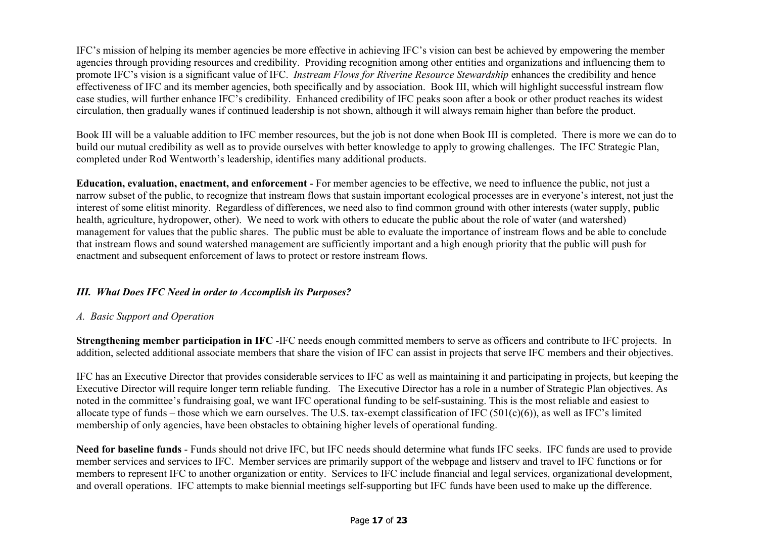IFC's mission of helping its member agencies be more effective in achieving IFC's vision can best be achieved by empowering the member agencies through providing resources and credibility. Providing recognition among other entities and organizations and influencing them to promote IFC's vision is a significant value of IFC. *Instream Flows for Riverine Resource Stewardship* enhances the credibility and hence effectiveness of IFC and its member agencies, both specifically and by association. Book III, which will highlight successful instream flow case studies, will further enhance IFC's credibility. Enhanced credibility of IFC peaks soon after a book or other product reaches its widest circulation, then gradually wanes if continued leadership is not shown, although it will always remain higher than before the product.

Book III will be a valuable addition to IFC member resources, but the job is not done when Book III is completed. There is more we can do to build our mutual credibility as well as to provide ourselves with better knowledge to apply to growing challenges. The IFC Strategic Plan, completed under Rod Wentworth's leadership, identifies many additional products.

**Education, evaluation, enactment, and enforcement** - For member agencies to be effective, we need to influence the public, not just a narrow subset of the public, to recognize that instream flows that sustain important ecological processes are in everyone's interest, not just the interest of some elitist minority. Regardless of differences, we need also to find common ground with other interests (water supply, public health, agriculture, hydropower, other). We need to work with others to educate the public about the role of water (and watershed) management for values that the public shares. The public must be able to evaluate the importance of instream flows and be able to conclude that instream flows and sound watershed management are sufficiently important and a high enough priority that the public will push for enactment and subsequent enforcement of laws to protect or restore instream flows.

### *III. What Does IFC Need in order to Accomplish its Purposes?*

## *A. Basic Support and Operation*

**Strengthening member participation in IFC** -IFC needs enough committed members to serve as officers and contribute to IFC projects. In addition, selected additional associate members that share the vision of IFC can assist in projects that serve IFC members and their objectives.

IFC has an Executive Director that provides considerable services to IFC as well as maintaining it and participating in projects, but keeping the Executive Director will require longer term reliable funding. The Executive Director has a role in a number of Strategic Plan objectives. As noted in the committee's fundraising goal, we want IFC operational funding to be self-sustaining. This is the most reliable and easiest to allocate type of funds – those which we earn ourselves. The U.S. tax-exempt classification of IFC (501(c)(6)), as well as IFC's limited membership of only agencies, have been obstacles to obtaining higher levels of operational funding.

**Need for baseline funds** - Funds should not drive IFC, but IFC needs should determine what funds IFC seeks. IFC funds are used to provide member services and services to IFC. Member services are primarily support of the webpage and listserv and travel to IFC functions or for members to represent IFC to another organization or entity. Services to IFC include financial and legal services, organizational development, and overall operations. IFC attempts to make biennial meetings self-supporting but IFC funds have been used to make up the difference.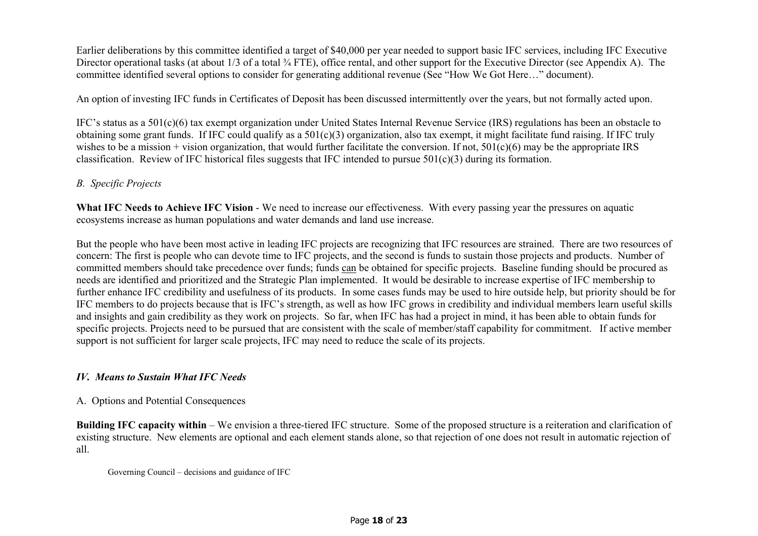Earlier deliberations by this committee identified a target of \$40,000 per year needed to support basic IFC services, including IFC Executive Director operational tasks (at about 1/3 of a total  $\frac{3}{4}$  FTE), office rental, and other support for the Executive Director (see Appendix A). The committee identified several options to consider for generating additional revenue (See "How We Got Here…" document).

An option of investing IFC funds in Certificates of Deposit has been discussed intermittently over the years, but not formally acted upon.

IFC's status as a 501(c)(6) tax exempt organization under United States Internal Revenue Service (IRS) regulations has been an obstacle to obtaining some grant funds. If IFC could qualify as a 501(c)(3) organization, also tax exempt, it might facilitate fund raising. If IFC truly wishes to be a mission + vision organization, that would further facilitate the conversion. If not,  $501(c)(6)$  may be the appropriate IRS classification. Review of IFC historical files suggests that IFC intended to pursue 501(c)(3) during its formation.

### *B. Specific Projects*

**What IFC Needs to Achieve IFC Vision** - We need to increase our effectiveness. With every passing year the pressures on aquatic ecosystems increase as human populations and water demands and land use increase.

But the people who have been most active in leading IFC projects are recognizing that IFC resources are strained. There are two resources of concern: The first is people who can devote time to IFC projects, and the second is funds to sustain those projects and products. Number of committed members should take precedence over funds; funds can be obtained for specific projects. Baseline funding should be procured as needs are identified and prioritized and the Strategic Plan implemented. It would be desirable to increase expertise of IFC membership to further enhance IFC credibility and usefulness of its products. In some cases funds may be used to hire outside help, but priority should be for IFC members to do projects because that is IFC's strength, as well as how IFC grows in credibility and individual members learn useful skills and insights and gain credibility as they work on projects. So far, when IFC has had a project in mind, it has been able to obtain funds for specific projects. Projects need to be pursued that are consistent with the scale of member/staff capability for commitment. If active member support is not sufficient for larger scale projects, IFC may need to reduce the scale of its projects.

### *IV. Means to Sustain What IFC Needs*

#### A. Options and Potential Consequences

**Building IFC capacity within** – We envision a three-tiered IFC structure. Some of the proposed structure is a reiteration and clarification of existing structure. New elements are optional and each element stands alone, so that rejection of one does not result in automatic rejection of all.

Governing Council – decisions and guidance of IFC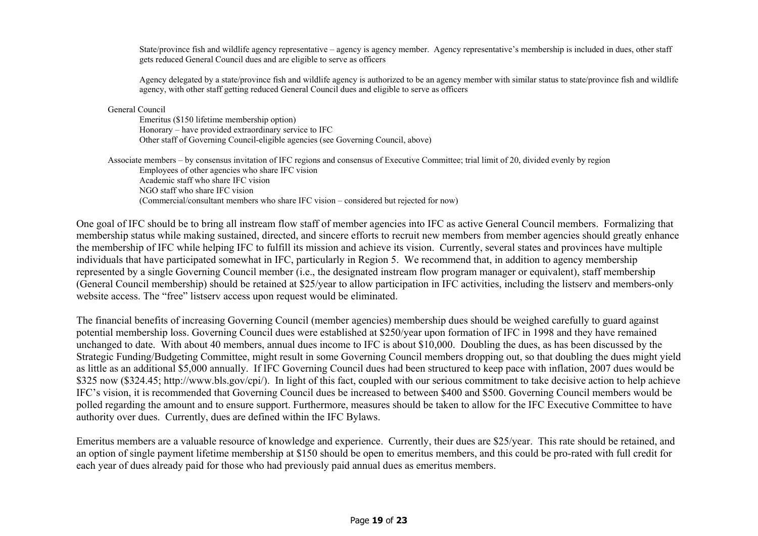State/province fish and wildlife agency representative – agency is agency member. Agency representative's membership is included in dues, other staff gets reduced General Council dues and are eligible to serve as officers

Agency delegated by a state/province fish and wildlife agency is authorized to be an agency member with similar status to state/province fish and wildlife agency, with other staff getting reduced General Council dues and eligible to serve as officers

General Council

Emeritus (\$150 lifetime membership option) Honorary – have provided extraordinary service to IFC Other staff of Governing Council-eligible agencies (see Governing Council, above)

Associate members – by consensus invitation of IFC regions and consensus of Executive Committee; trial limit of 20, divided evenly by region Employees of other agencies who share IFC vision Academic staff who share IFC vision NGO staff who share IFC vision (Commercial/consultant members who share IFC vision – considered but rejected for now)

One goal of IFC should be to bring all instream flow staff of member agencies into IFC as active General Council members. Formalizing that membership status while making sustained, directed, and sincere efforts to recruit new members from member agencies should greatly enhance the membership of IFC while helping IFC to fulfill its mission and achieve its vision. Currently, several states and provinces have multiple individuals that have participated somewhat in IFC, particularly in Region 5. We recommend that, in addition to agency membership represented by a single Governing Council member (i.e., the designated instream flow program manager or equivalent), staff membership (General Council membership) should be retained at \$25/year to allow participation in IFC activities, including the listserv and members-only website access. The "free" listsery access upon request would be eliminated.

The financial benefits of increasing Governing Council (member agencies) membership dues should be weighed carefully to guard against potential membership loss. Governing Council dues were established at \$250/year upon formation of IFC in 1998 and they have remained unchanged to date. With about 40 members, annual dues income to IFC is about \$10,000. Doubling the dues, as has been discussed by the Strategic Funding/Budgeting Committee, might result in some Governing Council members dropping out, so that doubling the dues might yield as little as an additional \$5,000 annually. If IFC Governing Council dues had been structured to keep pace with inflation, 2007 dues would be \$325 now (\$324.45; http://www.bls.gov/cpi/). In light of this fact, coupled with our serious commitment to take decisive action to help achieve IFC's vision, it is recommended that Governing Council dues be increased to between \$400 and \$500. Governing Council members would be polled regarding the amount and to ensure support. Furthermore, measures should be taken to allow for the IFC Executive Committee to have authority over dues. Currently, dues are defined within the IFC Bylaws.

Emeritus members are a valuable resource of knowledge and experience. Currently, their dues are \$25/year. This rate should be retained, and an option of single payment lifetime membership at \$150 should be open to emeritus members, and this could be pro-rated with full credit for each year of dues already paid for those who had previously paid annual dues as emeritus members.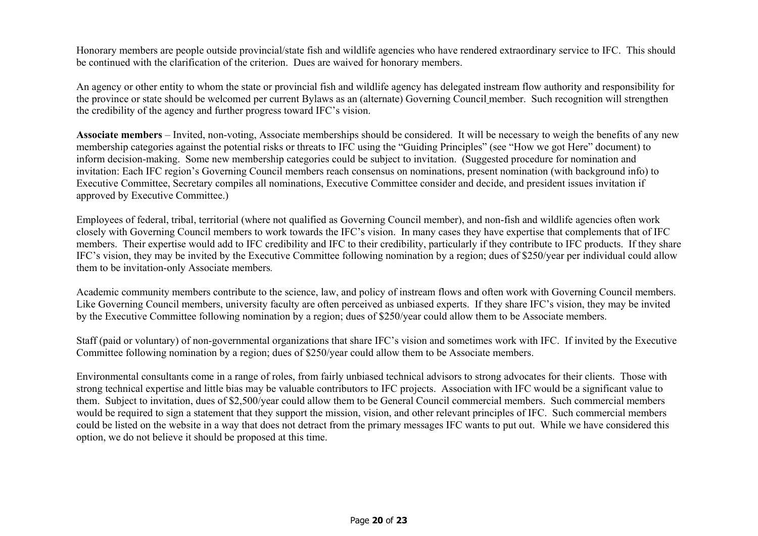Honorary members are people outside provincial/state fish and wildlife agencies who have rendered extraordinary service to IFC. This should be continued with the clarification of the criterion. Dues are waived for honorary members.

An agency or other entity to whom the state or provincial fish and wildlife agency has delegated instream flow authority and responsibility for the province or state should be welcomed per current Bylaws as an (alternate) Governing Council member. Such recognition will strengthen the credibility of the agency and further progress toward IFC's vision.

**Associate members** – Invited, non-voting, Associate memberships should be considered. It will be necessary to weigh the benefits of any new membership categories against the potential risks or threats to IFC using the "Guiding Principles" (see "How we got Here" document) to inform decision-making. Some new membership categories could be subject to invitation. (Suggested procedure for nomination and invitation: Each IFC region's Governing Council members reach consensus on nominations, present nomination (with background info) to Executive Committee, Secretary compiles all nominations, Executive Committee consider and decide, and president issues invitation if approved by Executive Committee.)

Employees of federal, tribal, territorial (where not qualified as Governing Council member), and non-fish and wildlife agencies often work closely with Governing Council members to work towards the IFC's vision. In many cases they have expertise that complements that of IFC members. Their expertise would add to IFC credibility and IFC to their credibility, particularly if they contribute to IFC products. If they share IFC's vision, they may be invited by the Executive Committee following nomination by a region; dues of \$250/year per individual could allow them to be invitation-only Associate members*.*

Academic community members contribute to the science, law, and policy of instream flows and often work with Governing Council members. Like Governing Council members, university faculty are often perceived as unbiased experts. If they share IFC's vision, they may be invited by the Executive Committee following nomination by a region; dues of \$250/year could allow them to be Associate members.

Staff (paid or voluntary) of non-governmental organizations that share IFC's vision and sometimes work with IFC. If invited by the Executive Committee following nomination by a region; dues of \$250/year could allow them to be Associate members.

Environmental consultants come in a range of roles, from fairly unbiased technical advisors to strong advocates for their clients. Those with strong technical expertise and little bias may be valuable contributors to IFC projects. Association with IFC would be a significant value to them. Subject to invitation, dues of \$2,500/year could allow them to be General Council commercial members. Such commercial members would be required to sign a statement that they support the mission, vision, and other relevant principles of IFC. Such commercial members could be listed on the website in a way that does not detract from the primary messages IFC wants to put out. While we have considered this option, we do not believe it should be proposed at this time.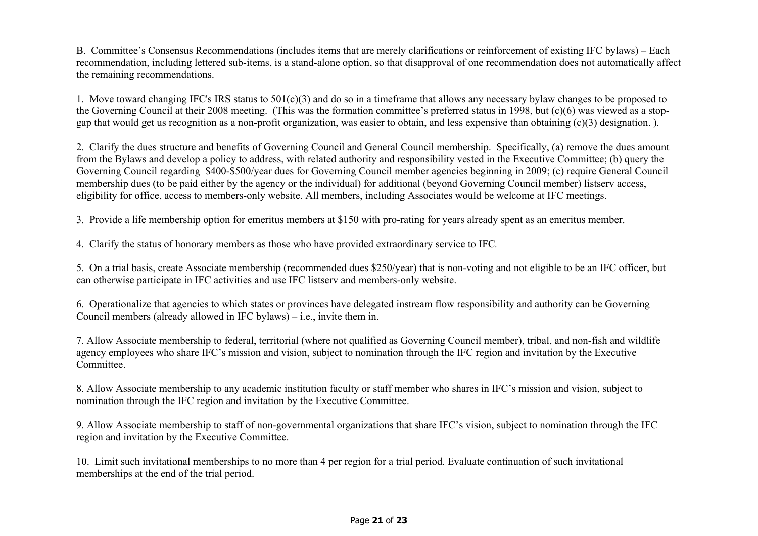B. Committee's Consensus Recommendations (includes items that are merely clarifications or reinforcement of existing IFC bylaws) – Each recommendation, including lettered sub-items, is a stand-alone option, so that disapproval of one recommendation does not automatically affect the remaining recommendations.

1. Move toward changing IFC's IRS status to 501(c)(3) and do so in a timeframe that allows any necessary bylaw changes to be proposed to the Governing Council at their 2008 meeting. (This was the formation committee's preferred status in 1998, but (c)(6) was viewed as a stopgap that would get us recognition as a non-profit organization, was easier to obtain, and less expensive than obtaining (c)(3) designation. )*.* 

2. Clarify the dues structure and benefits of Governing Council and General Council membership. Specifically, (a) remove the dues amount from the Bylaws and develop a policy to address, with related authority and responsibility vested in the Executive Committee; (b) query the Governing Council regarding \$400-\$500/year dues for Governing Council member agencies beginning in 2009; (c) require General Council membership dues (to be paid either by the agency or the individual) for additional (beyond Governing Council member) listserv access, eligibility for office, access to members-only website. All members, including Associates would be welcome at IFC meetings.

3. Provide a life membership option for emeritus members at \$150 with pro-rating for years already spent as an emeritus member.

4. Clarify the status of honorary members as those who have provided extraordinary service to IFC*.*

5. On a trial basis, create Associate membership (recommended dues \$250/year) that is non-voting and not eligible to be an IFC officer, but can otherwise participate in IFC activities and use IFC listserv and members-only website.

6. Operationalize that agencies to which states or provinces have delegated instream flow responsibility and authority can be Governing Council members (already allowed in IFC bylaws) – i.e., invite them in.

7. Allow Associate membership to federal, territorial (where not qualified as Governing Council member), tribal, and non-fish and wildlife agency employees who share IFC's mission and vision, subject to nomination through the IFC region and invitation by the Executive Committee.

8. Allow Associate membership to any academic institution faculty or staff member who shares in IFC's mission and vision, subject to nomination through the IFC region and invitation by the Executive Committee.

9. Allow Associate membership to staff of non-governmental organizations that share IFC's vision, subject to nomination through the IFC region and invitation by the Executive Committee.

10. Limit such invitational memberships to no more than 4 per region for a trial period. Evaluate continuation of such invitational memberships at the end of the trial period.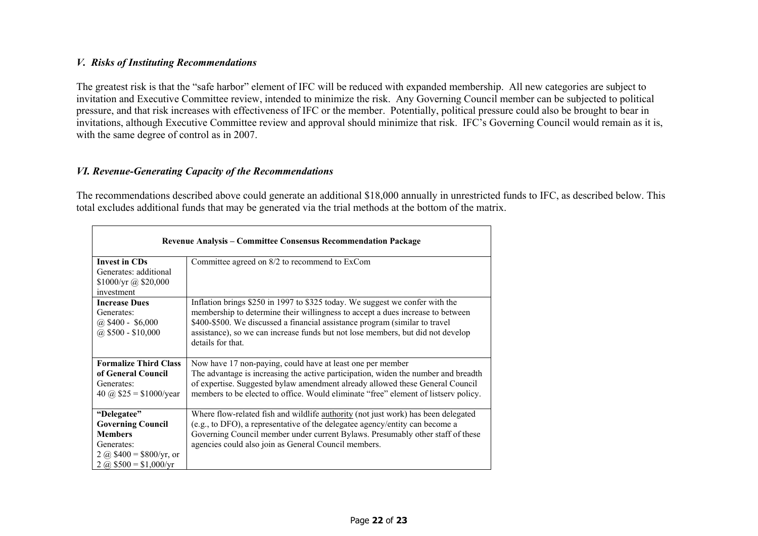### *V. Risks of Instituting Recommendations*

The greatest risk is that the "safe harbor" element of IFC will be reduced with expanded membership. All new categories are subject to invitation and Executive Committee review, intended to minimize the risk. Any Governing Council member can be subjected to political pressure, and that risk increases with effectiveness of IFC or the member. Potentially, political pressure could also be brought to bear in invitations, although Executive Committee review and approval should minimize that risk. IFC's Governing Council would remain as it is, with the same degree of control as in 2007.

### *VI. Revenue-Generating Capacity of the Recommendations*

The recommendations described above could generate an additional \$18,000 annually in unrestricted funds to IFC, as described below. This total excludes additional funds that may be generated via the trial methods at the bottom of the matrix.

| <b>Revenue Analysis – Committee Consensus Recommendation Package</b>                                                           |                                                                                                                                                                                                                                                                                                                                                       |  |
|--------------------------------------------------------------------------------------------------------------------------------|-------------------------------------------------------------------------------------------------------------------------------------------------------------------------------------------------------------------------------------------------------------------------------------------------------------------------------------------------------|--|
| <b>Invest in CDs</b><br>Generates: additional<br>\$1000/yr @ \$20,000<br>investment                                            | Committee agreed on 8/2 to recommend to ExCom                                                                                                                                                                                                                                                                                                         |  |
| <b>Increase Dues</b><br>Generates:<br>$(a)$ \$400 - \$6,000<br>$(a)$ \$500 - \$10,000                                          | Inflation brings \$250 in 1997 to \$325 today. We suggest we confer with the<br>membership to determine their willingness to accept a dues increase to between<br>\$400-\$500. We discussed a financial assistance program (similar to travel<br>assistance), so we can increase funds but not lose members, but did not develop<br>details for that. |  |
| <b>Formalize Third Class</b><br>of General Council<br>Generates:<br>40 @ $$25 = $1000/year$                                    | Now have 17 non-paying, could have at least one per member<br>The advantage is increasing the active participation, widen the number and breadth<br>of expertise. Suggested bylaw amendment already allowed these General Council<br>members to be elected to office. Would eliminate "free" element of listserv policy.                              |  |
| "Delegatee"<br><b>Governing Council</b><br><b>Members</b><br>Generates:<br>2 @ $$400 = $800/yr$ , or<br>2 @ $$500 = $1,000/yr$ | Where flow-related fish and wildlife <b>authority</b> (not just work) has been delegated<br>(e.g., to DFO), a representative of the delegatee agency/entity can become a<br>Governing Council member under current Bylaws. Presumably other staff of these<br>agencies could also join as General Council members.                                    |  |